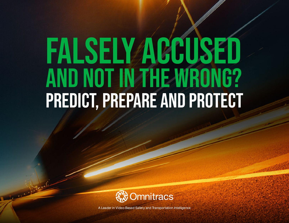# and not in the wrong? Predict, PRepare and protect Falsely accused



A Leader in Video-Based Safety and Transportation Intelligence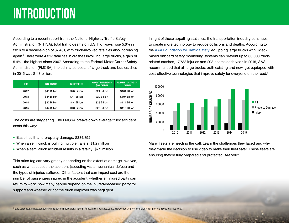# **INTRODUCTION**

According to a recent report from the National Highway Traffic Safety Administration (NHTSA), total traffic deaths on U.S. highways rose 5.6% in 2016 to a decade-high of 37,461, with truck-involved fatalities also increasing again.' There were 4,317 fatalities in crashes involving large trucks, a gain of 5.4% - the highest since 2007. According to the Federal Motor Carrier Safety Administration (FMCSA), the estimated costs of large truck and bus crashes in 2015 was \$118 billion.

| <b>YEAR</b> | <b>FATAL CRASHES</b> | <b>INJURY CRASHES</b> | PROPERTY-DAMANGE-ONLY<br>(PDO) CRASHES | ALL LARGE TRUCK AND BUS<br><b>CRASHES</b> |
|-------------|----------------------|-----------------------|----------------------------------------|-------------------------------------------|
| 2012        | \$43 Billion         | \$40 Billion          | \$21 Billion                           | \$104 Billion                             |
| 2013        | \$44 Billion         | \$41 Billion          | \$22 Billion                           | \$107 Billion                             |
| 2014        | \$42 Billion         | \$44 Billion          | \$28 Billion                           | \$114 Billion                             |
| 2015        | \$44 Billion         | \$46 Billion          | \$28 Billion                           | \$118 Billion                             |

The costs are staggering. The FMCSA breaks down average truck accident costs this way:

- Basic health and property damage: \$334,892
- When a semi-truck is pulling multiple trailers: \$1.2 million
- When a semi-truck accident results in a fatality: \$7.2 million

This price tag can vary greatly depending on the extent of damage involved, such as what caused the accident (speeding vs. a mechanical defect) and the types of injuries suffered. Other factors that can impact cost are the number of passengers injured in the accident, whether an injured party can return to work, how many people depend on the injured/deceased party for support and whether or not the truck employer was negligent.

In light of these appalling statistics, the transportation industry continues to create more technology to reduce collisions and deaths. According to the [AAA Foundation for Traffic Safety,](https://www.aaafoundation.org/sites/default/files/Truck%20Safety_Video%20Systems.pdf) equipping large trucks with videobased onboard safety monitoring systems can prevent up to 63,000 truckrelated crashes, 17,733 injuries and 293 deaths each year. In 2015, AAA recommended that all large trucks, both existing and new, get equipped with cost-effective technologies that improve safety for everyone on the road.<sup>2</sup>



Many fleets are heeding the call. Learn the challenges they faced and why they made the decision to use video to make their fleet safer. These fleets are ensuring they're fully prepared and protected. Are you?

1https://crashstats.nhtsa.dot.gov/Api/Public/ViewPublication/812456 | <sup>2</sup>http://newsroom.aaa.com/2017/09/truck-safety-technology-can-prevent-63000-crashes-year/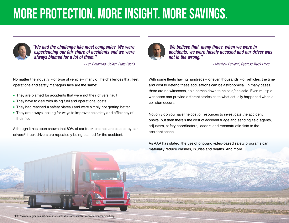# more protection. more insight. more savings.



*"We had the challenge like most companies. We were experiencing our fair share of accidents and we were always blamed for a lot of them."* 

- Lee Gragnano, Golden State Foods



*"We believe that, many times, when we were in accidents, we were falsely accused and our driver was not in the wrong."*

- Matthew Penland, Cypress Truck Lines

No matter the industry – or type of vehicle – many of the challenges that fleet, operations and safety managers face are the same:

- They are blamed for accidents that were not their drivers' fault
- They have to deal with rising fuel and operational costs
- They had reached a safety plateau and were simply not getting better
- They are always looking for ways to improve the safety and efficiency of their fleet

Although it has been shown that 80% of car-truck crashes are caused by car drivers°, truck drivers are repeatedly being blamed for the accident.

With some fleets having hundreds – or even thousands – of vehicles, the time and cost to defend these accusations can be astronomical. In many cases, there are no witnesses, so it comes down to he said/she said. Even multiple witnesses can provide different stories as to what actually happened when a collision occurs.

Not only do you have the cost of resources to investigate the accident onsite, but then there's the cost of accident triage and sending field agents, adjusters, safety coordinators, leaders and reconstructionists to the accident scene.

As AAA has stated, the use of onboard video-based safety programs can materially reduce crashes, injuries and deaths. And more.

3 http://www.ccjdigital.com/80-percent-of-car-truck-crashes-caused-by-car-drivers-ata-report-says/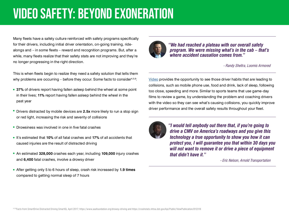## Video Safety: Beyond Exoneration

Many fleets have a safety culture reinforced with safety programs specifically for their drivers, including initial driver orientation, on-going training, ridealongs and – in some fleets – reward and recognition programs. But, after a while, many fleets realize that their safety stats are not improving and they're no longer progressing in the right direction.

This is when fleets begin to realize they need a safety solution that tells them why problems are occurring – before they occur. Some facts to consider<sup>4,5,6</sup>:

- **37%** of drivers report having fallen asleep behind the wheel at some point in their lives; **11%** report having fallen asleep behind the wheel in the past year
- Drivers distracted by mobile devices are **2.5x** more likely to run a stop sign or red light, increasing the risk and severity of collisions
- Drowsiness was involved in one in five fatal crashes
- It's estimated that **10%** of all fatal crashes and **17%** of all accidents that caused injuries are the result of distracted driving
- An estimated **328,000** crashes each year, including **109,000** injury crashes and **6,400** fatal crashes, involve a drowsy driver
- After getting only 5 to 6 hours of sleep, crash risk increased by **1.9 times**  compared to getting normal sleep of 7 hours



*"We had reached a plateau with our overall safety program. We were missing what's in the cab – that's where accident causation comes from."*

- Randy Sheltra, Loomis Armored

[Video](http://www.smartdrive.net/solutions/smartchoice-program-video-safety/) provides the opportunity to see those driver habits that are leading to collisions, such as mobile phone use, food and drink, lack of sleep, following too close, speeding and more. Similar to sports teams that use game-day films to review a game, by understanding the problem and coaching drivers with the video so they can see what's causing collisions, you quickly improve driver performance and the overall safety results throughout your fleet.



*"I would tell anybody out there that, if you're going to drive a CMV on America's roadways and you give this technology a true opportunity to show you how it can protect you, I will guarantee you that within 30 days you will not want to remove it or drive a piece of equipment that didn't have it."* 

- Eric Nelson, Arnold Transportation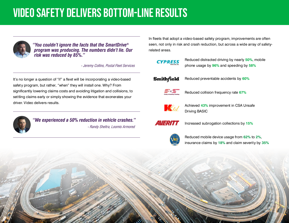### Video Safety Delivers Bottom-Line Results



*"You couldn't ignore the facts that the SmartDrive® program was producing. The numbers didn't lie. Our risk was reduced by 85%."*

- Jeremy Collins, Postal Fleet Services

It's no longer a question of "if" a fleet will be incorporating a video-based safety program, but rather, "when" they will install one. Why? From significantly lowering claims costs and avoiding litigation and collisions, to settling claims early or simply showing the evidence that exonerates your driver. Video delivers results.



*"We experienced a 50% reduction in vehicle crashes."* - Randy Sheltra, Loomis Armored

In fleets that adopt a video-based safety program, improvements are often seen, not only in risk and crash reduction, but across a wide array of safetyrelated areas.

**CYPRESS** 

[Reduced distracted driving by nearly](http://www.smartdrive.net/case-studies/cypress/) **50%**, mobile phone usage by **96%** and speeding by **58%**

**Smithfield** 

[Reduced preventable accidents by](http://www.smartdrive.net/case-studies/smithfield/) **60%**

[Reduced collision frequency rate](http://www.smartdrive.net/case-studies/fraley-schilling/) **67%**



Achieved **43%** [improvement in CSA Unsafe](http://www.smartdrive.net/case-studies/k-limited/)  Driving BASIC



[Increased subrogation collections by](http://www.smartdrive.net/case-studies/averitt-express/) **15%**



[Reduced mobile device usage from](http://www.smartdrive.net/case-studies/virginia-eagle/) **62%** to **2%**, insurance claims by **18%** and claim severity by **35%**

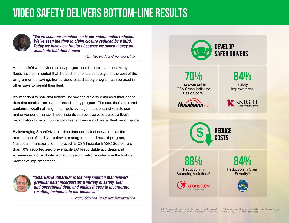### Video Safety Delivers Bottom-Line Results



*"We've seen our accident costs per million miles reduced. We've seen the time to claim closure reduced by a third. Today we have new tractors because we saved money on accidents that didn't occur."*

- Eric Nelson, Arnold Transportation

And, the ROI with a video safety program can be instantaneous. Many fleets have commented that the cost of one accident pays for the cost of the program or the savings from a video-based safety program can be used in other ways to benefit their fleet.

It's important to note that bottom-line savings are also enhanced through the data that results from a video-based safety program. The data that's captured contains a wealth of insight that fleets leverage to understand vehicle use and driver performance. These insights can be leveraged across a fleet's organization to help improve both fleet efficiency and overall fleet performance.

By leveraging SmartDrive real-time data and risk observations as the cornerstone of its driver behavior management and reward program, Nussbaum Transportation improved its CSA Indicator BASIC Score more than 70%, reported zero preventable DOT-recordable accidents and experienced no jackknife or major loss-of-control accidents in the first six months of implementation.



*"SmartDrive SmartIQ® is the only solution that delivers granular data; incorporates a variety of safety, fuel and operational data; and makes it easy to incorporate resulting insights into our business."*

- Jeremy Stickling, Nussbaum Transportation



<sup>7</sup>http://www.smartdrive.net/case-studies/nussbaum-transportation/ | <sup>8</sup>http://www.smartdrive.net/case-studies/knight-transportation/ 9 http://www.smartdrive.net/case-studies/transdev/ | 10http://www.smartdrive.net/case-studies/virginia-eagle/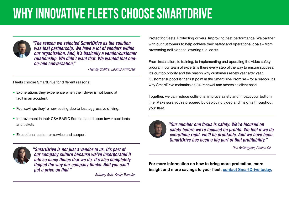# WHY INNOVATIVE FLEETS CHOOSE SMARTDRIVE



*"The reason we selected SmartDrive as the solution was that partnership. We have a lot of vendors within our organization. And, it's basically a vendor/customer relationship. We didn't want that. We wanted that oneon-one conversation."*

- Randy Sheltra, Loomis Armored

Fleets choose SmartDrive for different reasons:

- Exonerations they experience when their driver is not found at fault in an accident.
- Fuel savings they're now seeing due to less aggressive driving.
- Improvement in their CSA BASIC Scores based upon fewer accidents and tickets
- Exceptional customer service and support



*"SmartDrive is not just a vendor to us. It's part of our company culture because we've incorporated it into so many things that we do. It's also completely flipped the way our company thinks. And you can't put a price on that."*

- Brittany Britt, Davis Transfer

Protecting fleets. Protecting drivers. Improving fleet performance. We partner with our customers to help achieve their safety and operational goals – from preventing collisions to lowering fuel costs.

From installation, to training, to implementing and operating the video safety program, our team of experts is there every step of the way to ensure success. It's our top priority and the reason why customers renew year after year. Customer support is the first point in the SmartDrive Promise – for a reason. It's why SmartDrive maintains a 98% renewal rate across its client base.

Together, we can reduce collisions, improve safety and impact your bottom line. Make sure you're prepared by deploying video and insights throughout your fleet.



*"Our number one focus is safety. We're focused on [safety before we're focused on profits. We feel if we do](http://info.smartdrive.net/video-conico-oil)  everything right, we'll be profitable. And we have been. SmartDrive has been a big part of that profitability."*

- Dan Baillargeon, Conico Oil

**For more information on how to bring more protection, more insight and more savings to your fleet, [contact SmartDrive today.](http://info.smartdrive.net/contact)**